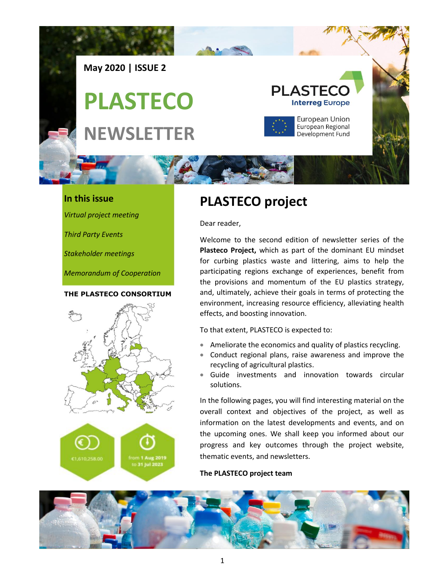

### **In this issue**

*Virtual project meeting*

*Third Party Events*

*Stakeholder meetings*

*Memorandum of Cooperation*

#### **THE PLASTECO CONSORTIUM**



## **PLASTECO project**

Dear reader,

Welcome to the second edition of newsletter series of the **Plasteco Project,** which as part of the dominant EU mindset for curbing plastics waste and littering, aims to help the participating regions exchange of experiences, benefit from the provisions and momentum of the EU plastics strategy, and, ultimately, achieve their goals in terms of protecting the environment, increasing resource efficiency, alleviating health effects, and boosting innovation.

To that extent, PLASTECO is expected to:

- Ameliorate the economics and quality of plastics recycling.
- Conduct regional plans, raise awareness and improve the recycling of agricultural plastics.
- Guide investments and innovation towards circular solutions.

In the following pages, you will find interesting material on the overall context and objectives of the project, as well as information on the latest developments and events, and on the upcoming ones. We shall keep you informed about our progress and key outcomes through the project website, thematic events, and newsletters.

#### **The PLASTECO project team**

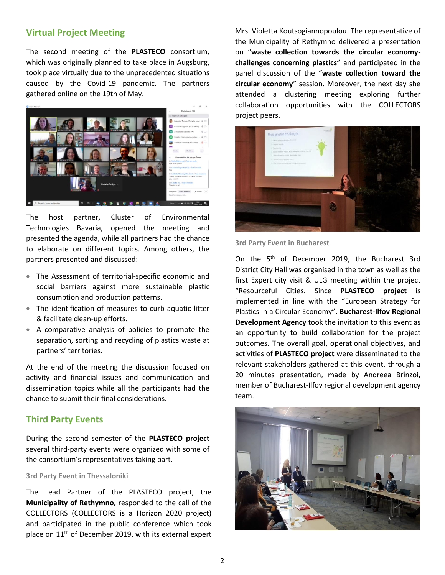## **Virtual Project Meeting**

The second meeting of the **PLASTECO** consortium, which was originally planned to take place in Augsburg, took place virtually due to the unprecedented situations caused by the Covid-19 pandemic. The partners gathered online on the 19th of May.



The host partner, Cluster of Environmental Technologies Bavaria, opened the meeting and presented the agenda, while all partners had the chance to elaborate on different topics. Among others, the partners presented and discussed:

- The Assessment of territorial-specific economic and social barriers against more sustainable plastic consumption and production patterns.
- The identification of measures to curb aquatic litter & facilitate clean-up efforts.
- A comparative analysis of policies to promote the separation, sorting and recycling of plastics waste at partners' territories.

At the end of the meeting the discussion focused on activity and financial issues and communication and dissemination topics while all the participants had the chance to submit their final considerations.

#### **Third Party Events**

During the second semester of the **PLASTECO project** several third-party events were organized with some of the consortium's representatives taking part.

#### **3rd Party Event in Thessaloniki**

The Lead Partner of the PLASTECO project, the **Municipality of Rethymno,** responded to the call of the COLLECTORS (COLLECTORS is a Horizon 2020 project) and participated in the public conference which took place on 11th of December 2019, with its external expert

Mrs. Violetta Koutsogiannopoulou. The representative of the Municipality of Rethymno delivered a presentation on "**waste collection towards the circular economychallenges concerning plastics**" and participated in the panel discussion of the "**waste collection toward the circular economy**" session. Moreover, the next day she attended a clustering meeting exploring further collaboration opportunities with the COLLECTORS project peers.



**3rd Party Event in Bucharest** 

On the 5th of December 2019, the Bucharest 3rd District City Hall was organised in the town as well as the first Expert city visit & ULG meeting within the project "Resourceful Cities. Since **PLASTECO project** is implemented in line with the "European Strategy for Plastics in a Circular Economy", **Bucharest-Ilfov Regional Development Agency** took the invitation to this event as an opportunity to build collaboration for the project outcomes. The overall goal, operational objectives, and activities of **PLASTECO project** were disseminated to the relevant stakeholders gathered at this event, through a 20 minutes presentation, made by Andreea Brînzoi, member of Bucharest-Ilfov regional development agency team.

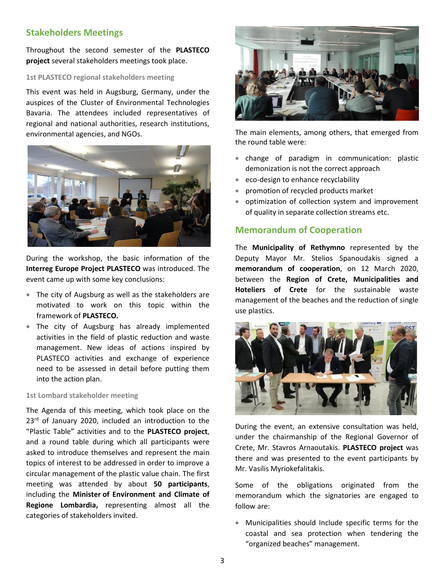## **Stakeholders Meetings**

Throughout the second semester of the **PLASTECO project** several stakeholders meetings took place.

#### **1st PLASTECO regional stakeholders meeting**

This event was held in Augsburg, Germany, under the auspices of the Cluster of Environmental Technologies Bavaria. The attendees included representatives of regional and national authorities, research institutions, environmental agencies, and NGOs.



During the workshop, the basic information of the **Interreg Europe Project PLASTECO** was introduced. The event came up with some key conclusions:

- The city of Augsburg as well as the stakeholders are motivated to work on this topic within the framework of **PLASTECO.**
- The city of Augsburg has already implemented activities in the field of plastic reduction and waste management. New ideas of actions inspired by PLASTECO activities and exchange of experience need to be assessed in detail before putting them into the action plan.

#### **1st Lombard stakeholder meeting**

The Agenda of this meeting, which took place on the 23<sup>rd</sup> of January 2020, included an introduction to the "Plastic Table" activities and to the **PLASTECO project**, and a round table during which all participants were asked to introduce themselves and represent the main topics of interest to be addressed in order to improve a circular management of the plastic value chain. The first meeting was attended by about **50 participants**, including the **Minister of Environment and Climate of Regione Lombardia,** representing almost all the categories of stakeholders invited.



The main elements, among others, that emerged from the round table were:

- change of paradigm in communication: plastic demonization is not the correct approach
- eco-design to enhance recyclability
- promotion of recycled products market
- optimization of collection system and improvement of quality in separate collection streams etc.

### **Memorandum of Cooperation**

The **Municipality of Rethymno** represented by the Deputy Mayor Mr. Stelios Spanoudakis signed a **memorandum of cooperation**, on 12 March 2020, between the **Region of Crete, Municipalities and Hoteliers of Crete** for the sustainable waste management of the beaches and the reduction of single use plastics.



During the event, an extensive consultation was held, under the chairmanship of the Regional Governor of Crete, Mr. Stavros Arnaoutakis. **PLASTECO project** was there and was presented to the event participants by Mr. Vasilis Myriokefalitakis.

Some of the obligations originated from the memorandum which the signatories are engaged to follow are:

• Municipalities should Include specific terms for the coastal and sea protection when tendering the "organized beaches" management.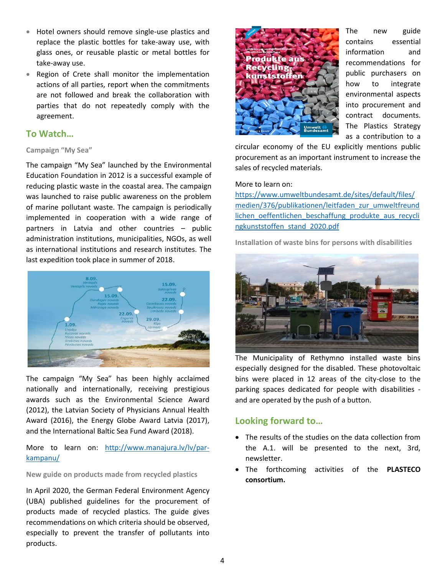- Hotel owners should remove single-use plastics and replace the plastic bottles for take-away use, with glass ones, or reusable plastic or metal bottles for take-away use.
- Region of Crete shall monitor the implementation actions of all parties, report when the commitments are not followed and break the collaboration with parties that do not repeatedly comply with the agreement.

## **To Watch…**

#### **Campaign "My Sea"**

The campaign "My Sea" launched by the Environmental Education Foundation in 2012 is a successful example of reducing plastic waste in the coastal area. The campaign was launched to raise public awareness on the problem of marine pollutant waste. The campaign is periodically implemented in cooperation with a wide range of partners in Latvia and other countries – public administration institutions, municipalities, NGOs, as well as international institutions and research institutes. The last expedition took place in summer of 2018.



The campaign "My Sea" has been highly acclaimed nationally and internationally, receiving prestigious awards such as the Environmental Science Award (2012), the Latvian Society of Physicians Annual Health Award (2016), the Energy Globe Award Latvia (2017), and the International Baltic Sea Fund Award (2018).

More to learn on: [http://www.manajura.lv/lv/par](http://www.manajura.lv/lv/par-kampanu/)[kampanu/](http://www.manajura.lv/lv/par-kampanu/)

#### **New guide on products made from recycled plastics**

In April 2020, the German Federal Environment Agency (UBA) published guidelines for the procurement of products made of recycled plastics. The guide gives recommendations on which criteria should be observed, especially to prevent the transfer of pollutants into products.



The new guide contains essential information and recommendations for public purchasers on how to integrate environmental aspects into procurement and contract documents. The Plastics Strategy as a contribution to a

circular economy of the EU explicitly mentions public procurement as an important instrument to increase the sales of recycled materials.

#### More to learn on:

[https://www.umweltbundesamt.de/sites/default/files/](https://www.umweltbundesamt.de/sites/default/files/medien/376/publikationen/leitfaden_zur_umweltfreundlichen_oeffentlichen_beschaffung_produkte_aus_recyclingkunststoffen_stand_2020.pdf) [medien/376/publikationen/leitfaden\\_zur\\_umweltfreund](https://www.umweltbundesamt.de/sites/default/files/medien/376/publikationen/leitfaden_zur_umweltfreundlichen_oeffentlichen_beschaffung_produkte_aus_recyclingkunststoffen_stand_2020.pdf) [lichen\\_oeffentlichen\\_beschaffung\\_produkte\\_aus\\_recycli](https://www.umweltbundesamt.de/sites/default/files/medien/376/publikationen/leitfaden_zur_umweltfreundlichen_oeffentlichen_beschaffung_produkte_aus_recyclingkunststoffen_stand_2020.pdf) [ngkunststoffen\\_stand\\_2020.pdf](https://www.umweltbundesamt.de/sites/default/files/medien/376/publikationen/leitfaden_zur_umweltfreundlichen_oeffentlichen_beschaffung_produkte_aus_recyclingkunststoffen_stand_2020.pdf)

**Installation of waste bins for persons with disabilities**



The Municipality of Rethymno installed waste bins especially designed for the disabled. These photovoltaic bins were placed in 12 areas of the city-close to the parking spaces dedicated for people with disabilities and are operated by the push of a button.

## **Looking forward to…**

- The results of the studies on the data collection from the A.1. will be presented to the next, 3rd, newsletter.
- The forthcoming activities of the **PLASTECO consortium.**